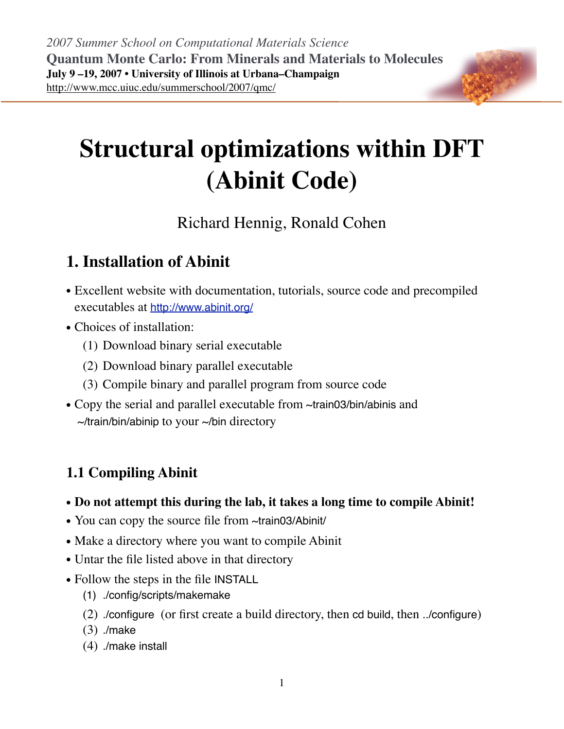

# Richard Hennig, Ronald Cohen

# **1. Installation of Abinit**

- Excellent website with documentation, tutorials, source code and precompiled executables at <http://www.abinit.org/>
- Choices of installation:
	- (1) Download binary serial executable
	- (2) Download binary parallel executable
	- (3) Compile binary and parallel program from source code
- Copy the serial and parallel executable from ~train03/bin/abinis and  $\sim$ /train/bin/abinip to your  $\sim$ /bin directory

## **1.1 Compiling Abinit**

- **Do not attempt this during the lab, it takes a long time to compile Abinit!**
- You can copy the source file from ~train03/Abinit/
- Make a directory where you want to compile Abinit
- Untar the file listed above in that directory
- Follow the steps in the file INSTALL
	- (1) ./config/scripts/makemake
	- (2) ./configure (or first create a build directory, then cd build, then ../configure)
	- (3) ./make
	- (4) ./make install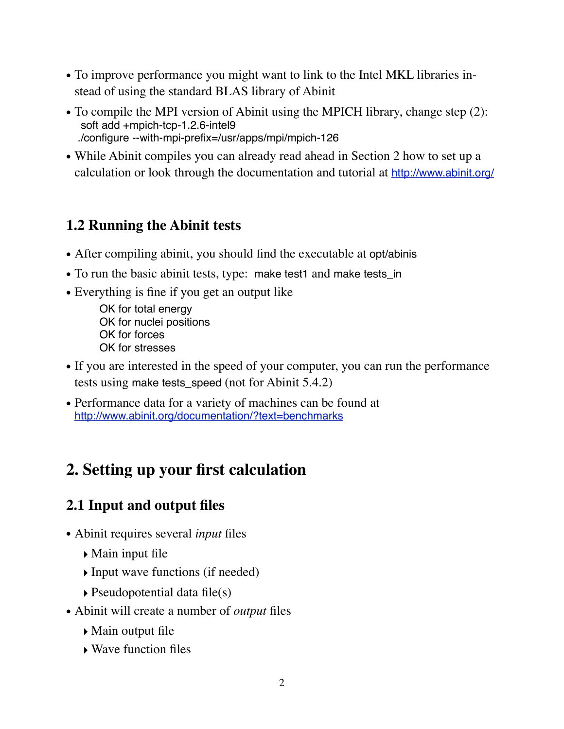- To improve performance you might want to link to the Intel MKL libraries instead of using the standard BLAS library of Abinit
- To compile the MPI version of Abinit using the MPICH library, change step (2): soft add +mpich-tcp-1.2.6-intel9 ./configure --with-mpi-prefix=/usr/apps/mpi/mpich-126
- While Abinit compiles you can already read ahead in Section 2 how to set up a calculation or look through the documentation and tutorial at <http://www.abinit.org/>

#### **1.2 Running the Abinit tests**

- After compiling abinit, you should find the executable at opt/abinis
- To run the basic abinit tests, type: make test1 and make tests\_in
- Everything is fine if you get an output like

OK for total energy OK for nuclei positions OK for forces OK for stresses

- If you are interested in the speed of your computer, you can run the performance tests using make tests speed (not for Abinit 5.4.2)
- Performance data for a variety of machines can be found at <http://www.abinit.org/documentation/?text=benchmarks>

# **2. Setting up your first calculation**

## **2.1 Input and output files**

- Abinit requires several *input* files
	- ‣ Main input file
	- ‣ Input wave functions (if needed)
	- $\rightarrow$  Pseudopotential data file(s)
- Abinit will create a number of *output* files
	- ‣ Main output file
	- ‣ Wave function files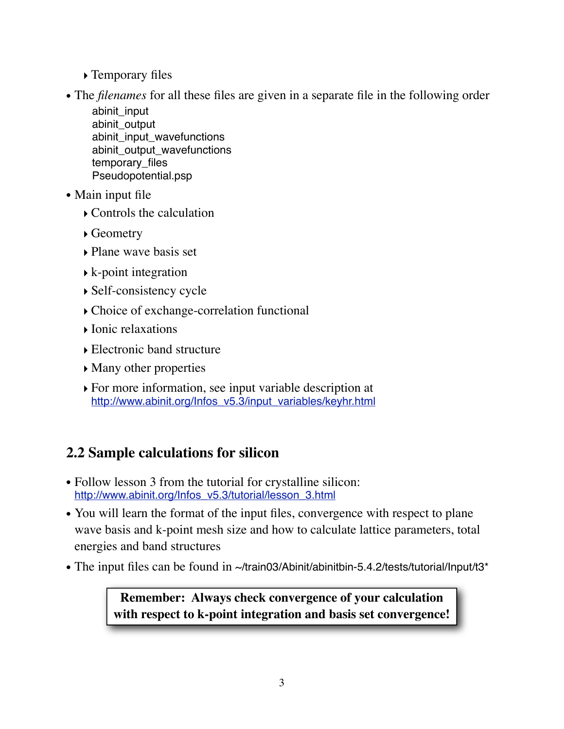- ‣ Temporary files
- The *filenames* for all these files are given in a separate file in the following order

abinit\_input abinit\_output abinit\_input\_wavefunctions abinit\_output\_wavefunctions temporary files Pseudopotential.psp

- Main input file
	- ‣ Controls the calculation
	- ‣ Geometry
	- ‣ Plane wave basis set
	- $\blacktriangleright$  k-point integration
	- ‣ Self-consistency cycle
	- ‣ Choice of exchange-correlation functional
	- ‣ Ionic relaxations
	- ‣ Electronic band structure
	- ‣ Many other properties
	- ‣ For more information, see input variable description at [http://www.abinit.org/Infos\\_v5.3/input\\_variables/keyhr.html](http://www.abinit.org/Infos_v5.3/input_variables/keyhr.html)

## **2.2 Sample calculations for silicon**

- Follow lesson 3 from the tutorial for crystalline silicon: [http://www.abinit.org/Infos\\_v5.3/tutorial/lesson\\_3.html](http://www.abinit.org/Infos_v5.3/tutorial/lesson_3.html)
- You will learn the format of the input files, convergence with respect to plane wave basis and k-point mesh size and how to calculate lattice parameters, total energies and band structures
- The input files can be found in ~/train03/Abinit/abinitbin-5.4.2/tests/tutorial/Input/t3\*

**Remember: Always check convergence of your calculation with respect to k-point integration and basis set convergence!**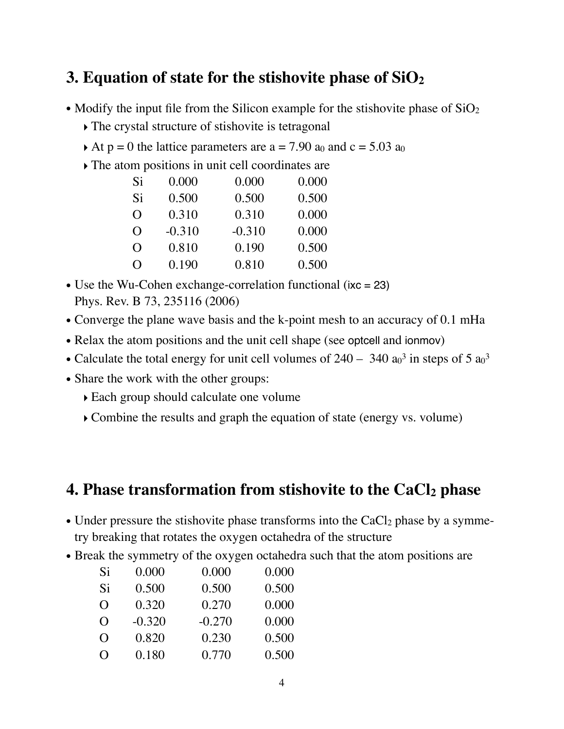## **3. Equation of state for the stishovite phase of SiO2**

- Modify the input file from the Silicon example for the stishovite phase of  $SiO<sub>2</sub>$ 
	- ‣ The crystal structure of stishovite is tetragonal
	- At  $p = 0$  the lattice parameters are  $a = 7.90$  a<sub>0</sub> and  $c = 5.03$  a<sub>0</sub>
	- ‣ The atom positions in unit cell coordinates are

| Si               | 0.000    | 0.000    | 0.000 |
|------------------|----------|----------|-------|
| Si               | 0.500    | 0.500    | 0.500 |
| O                | 0.310    | 0.310    | 0.000 |
| $\Omega$         | $-0.310$ | $-0.310$ | 0.000 |
| O                | 0.810    | 0.190    | 0.500 |
| $\left( \right)$ | 0.190    | 0.810    | 0.500 |

- Use the Wu-Cohen exchange-correlation functional (ixc = 23) Phys. Rev. B 73, 235116 (2006)
- Converge the plane wave basis and the k-point mesh to an accuracy of 0.1 mHa
- Relax the atom positions and the unit cell shape (see optcell and ionmov)
- Calculate the total energy for unit cell volumes of  $240 340$  a<sub>0</sub><sup>3</sup> in steps of 5 a<sub>0</sub><sup>3</sup>
- Share the work with the other groups:
	- ‣ Each group should calculate one volume
	- ‣ Combine the results and graph the equation of state (energy vs. volume)

#### **4. Phase transformation from stishovite to the CaCl2 phase**

- Under pressure the stishovite phase transforms into the  $CaCl<sub>2</sub>$  phase by a symmetry breaking that rotates the oxygen octahedra of the structure
- Break the symmetry of the oxygen octahedra such that the atom positions are

| Si       | 0.000    | 0.000    | 0.000 |
|----------|----------|----------|-------|
| Si       | 0.500    | 0.500    | 0.500 |
| $\Omega$ | 0.320    | 0.270    | 0.000 |
| $\Omega$ | $-0.320$ | $-0.270$ | 0.000 |
| $\Omega$ | 0.820    | 0.230    | 0.500 |
| $\Omega$ | 0.180    | 0.770    | 0.500 |